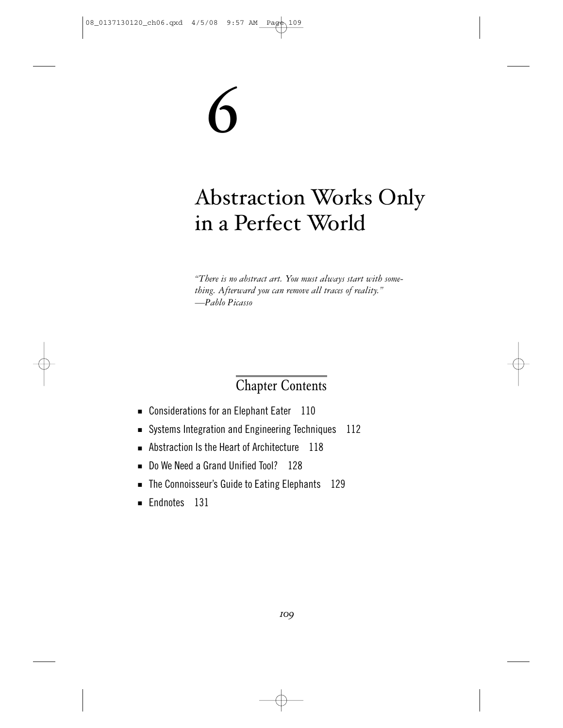# 6

# Abstraction Works Only in a Perfect World

*"There is no abstract art. You must always start with something. Afterward you can remove all traces of reality." —Pablo Picasso*

# Chapter Contents

- Considerations for an Elephant Eater 110
- Systems Integration and Engineering Techniques 112
- Abstraction Is the Heart of Architecture 118
- Do We Need a Grand Unified Tool? 128
- The Connoisseur's Guide to Eating Elephants 129
- Endnotes 131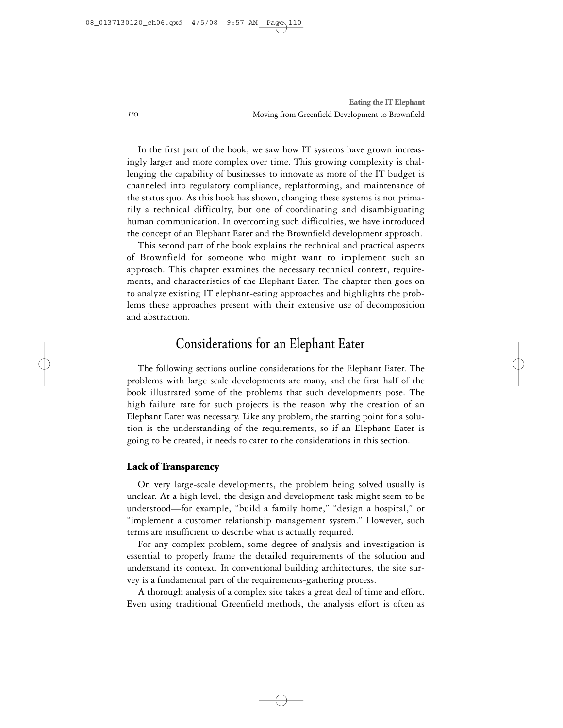In the first part of the book, we saw how IT systems have grown increasingly larger and more complex over time. This growing complexity is challenging the capability of businesses to innovate as more of the IT budget is channeled into regulatory compliance, replatforming, and maintenance of the status quo. As this book has shown, changing these systems is not primarily a technical difficulty, but one of coordinating and disambiguating human communication. In overcoming such difficulties, we have introduced the concept of an Elephant Eater and the Brownfield development approach.

This second part of the book explains the technical and practical aspects of Brownfield for someone who might want to implement such an approach. This chapter examines the necessary technical context, requirements, and characteristics of the Elephant Eater. The chapter then goes on to analyze existing IT elephant-eating approaches and highlights the problems these approaches present with their extensive use of decomposition and abstraction.

# Considerations for an Elephant Eater

The following sections outline considerations for the Elephant Eater. The problems with large scale developments are many, and the first half of the book illustrated some of the problems that such developments pose. The high failure rate for such projects is the reason why the creation of an Elephant Eater was necessary. Like any problem, the starting point for a solution is the understanding of the requirements, so if an Elephant Eater is going to be created, it needs to cater to the considerations in this section.

# **Lack of Transparency**

On very large-scale developments, the problem being solved usually is unclear. At a high level, the design and development task might seem to be understood—for example, "build a family home," "design a hospital," or "implement a customer relationship management system." However, such terms are insufficient to describe what is actually required.

For any complex problem, some degree of analysis and investigation is essential to properly frame the detailed requirements of the solution and understand its context. In conventional building architectures, the site survey is a fundamental part of the requirements-gathering process.

A thorough analysis of a complex site takes a great deal of time and effort. Even using traditional Greenfield methods, the analysis effort is often as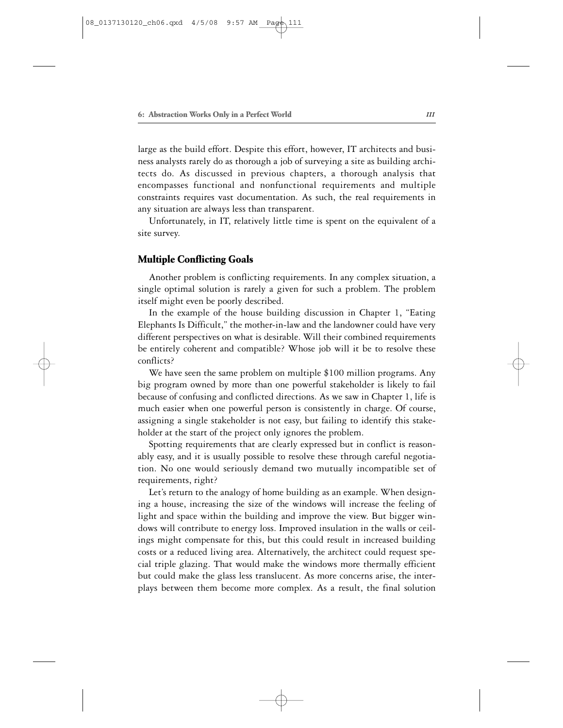large as the build effort. Despite this effort, however, IT architects and business analysts rarely do as thorough a job of surveying a site as building architects do. As discussed in previous chapters, a thorough analysis that encompasses functional and nonfunctional requirements and multiple constraints requires vast documentation. As such, the real requirements in any situation are always less than transparent.

Unfortunately, in IT, relatively little time is spent on the equivalent of a site survey.

### **Multiple Conflicting Goals**

Another problem is conflicting requirements. In any complex situation, a single optimal solution is rarely a given for such a problem. The problem itself might even be poorly described.

In the example of the house building discussion in Chapter 1, "Eating Elephants Is Difficult," the mother-in-law and the landowner could have very different perspectives on what is desirable. Will their combined requirements be entirely coherent and compatible? Whose job will it be to resolve these conflicts?

We have seen the same problem on multiple \$100 million programs. Any big program owned by more than one powerful stakeholder is likely to fail because of confusing and conflicted directions. As we saw in Chapter 1, life is much easier when one powerful person is consistently in charge. Of course, assigning a single stakeholder is not easy, but failing to identify this stakeholder at the start of the project only ignores the problem.

Spotting requirements that are clearly expressed but in conflict is reasonably easy, and it is usually possible to resolve these through careful negotiation. No one would seriously demand two mutually incompatible set of requirements, right?

Let's return to the analogy of home building as an example. When designing a house, increasing the size of the windows will increase the feeling of light and space within the building and improve the view. But bigger windows will contribute to energy loss. Improved insulation in the walls or ceilings might compensate for this, but this could result in increased building costs or a reduced living area. Alternatively, the architect could request special triple glazing. That would make the windows more thermally efficient but could make the glass less translucent. As more concerns arise, the interplays between them become more complex. As a result, the final solution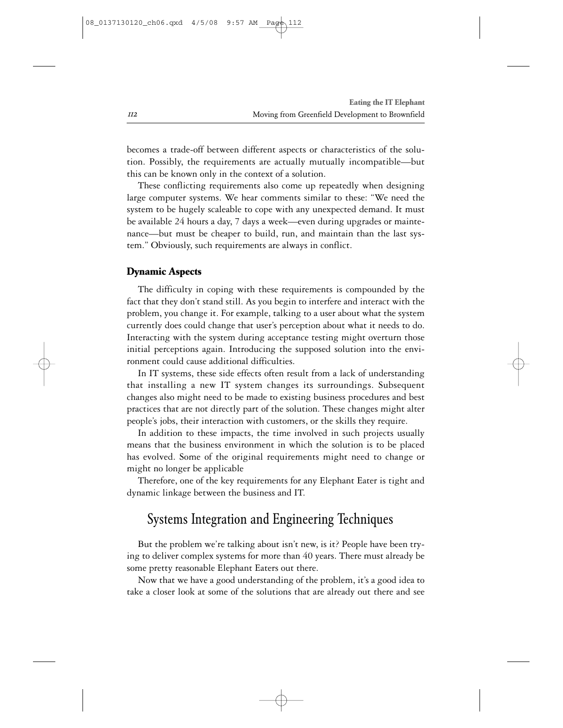becomes a trade-off between different aspects or characteristics of the solution. Possibly, the requirements are actually mutually incompatible—but this can be known only in the context of a solution.

These conflicting requirements also come up repeatedly when designing large computer systems. We hear comments similar to these: "We need the system to be hugely scaleable to cope with any unexpected demand. It must be available 24 hours a day, 7 days a week—even during upgrades or maintenance—but must be cheaper to build, run, and maintain than the last system." Obviously, such requirements are always in conflict.

### **Dynamic Aspects**

The difficulty in coping with these requirements is compounded by the fact that they don't stand still. As you begin to interfere and interact with the problem, you change it. For example, talking to a user about what the system currently does could change that user's perception about what it needs to do. Interacting with the system during acceptance testing might overturn those initial perceptions again. Introducing the supposed solution into the environment could cause additional difficulties.

In IT systems, these side effects often result from a lack of understanding that installing a new IT system changes its surroundings. Subsequent changes also might need to be made to existing business procedures and best practices that are not directly part of the solution. These changes might alter people's jobs, their interaction with customers, or the skills they require.

In addition to these impacts, the time involved in such projects usually means that the business environment in which the solution is to be placed has evolved. Some of the original requirements might need to change or might no longer be applicable

Therefore, one of the key requirements for any Elephant Eater is tight and dynamic linkage between the business and IT.

# Systems Integration and Engineering Techniques

But the problem we're talking about isn't new, is it? People have been trying to deliver complex systems for more than 40 years. There must already be some pretty reasonable Elephant Eaters out there.

Now that we have a good understanding of the problem, it's a good idea to take a closer look at some of the solutions that are already out there and see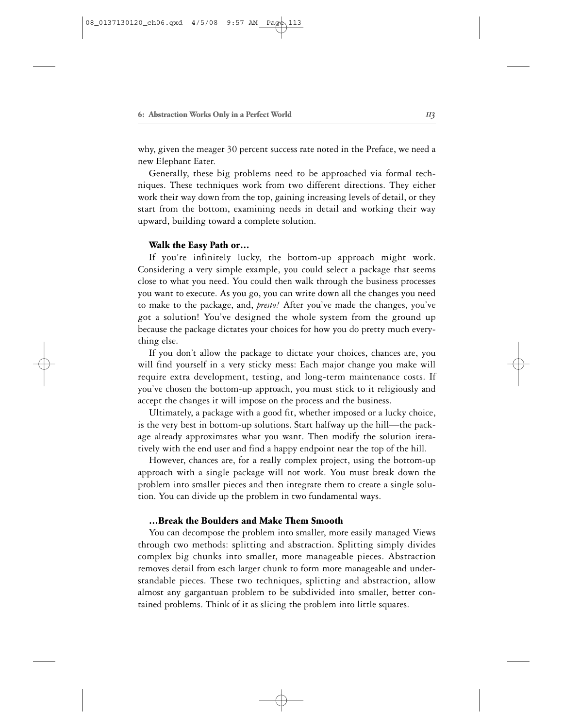why, given the meager 30 percent success rate noted in the Preface, we need a new Elephant Eater.

Generally, these big problems need to be approached via formal techniques. These techniques work from two different directions. They either work their way down from the top, gaining increasing levels of detail, or they start from the bottom, examining needs in detail and working their way upward, building toward a complete solution.

### **Walk the Easy Path or…**

If you're infinitely lucky, the bottom-up approach might work. Considering a very simple example, you could select a package that seems close to what you need. You could then walk through the business processes you want to execute. As you go, you can write down all the changes you need to make to the package, and, *presto!* After you've made the changes, you've got a solution! You've designed the whole system from the ground up because the package dictates your choices for how you do pretty much everything else.

If you don't allow the package to dictate your choices, chances are, you will find yourself in a very sticky mess: Each major change you make will require extra development, testing, and long-term maintenance costs. If you've chosen the bottom-up approach, you must stick to it religiously and accept the changes it will impose on the process and the business.

Ultimately, a package with a good fit, whether imposed or a lucky choice, is the very best in bottom-up solutions. Start halfway up the hill—the package already approximates what you want. Then modify the solution iteratively with the end user and find a happy endpoint near the top of the hill.

However, chances are, for a really complex project, using the bottom-up approach with a single package will not work. You must break down the problem into smaller pieces and then integrate them to create a single solution. You can divide up the problem in two fundamental ways.

### **…Break the Boulders and Make Them Smooth**

You can decompose the problem into smaller, more easily managed Views through two methods: splitting and abstraction. Splitting simply divides complex big chunks into smaller, more manageable pieces. Abstraction removes detail from each larger chunk to form more manageable and understandable pieces. These two techniques, splitting and abstraction, allow almost any gargantuan problem to be subdivided into smaller, better contained problems. Think of it as slicing the problem into little squares.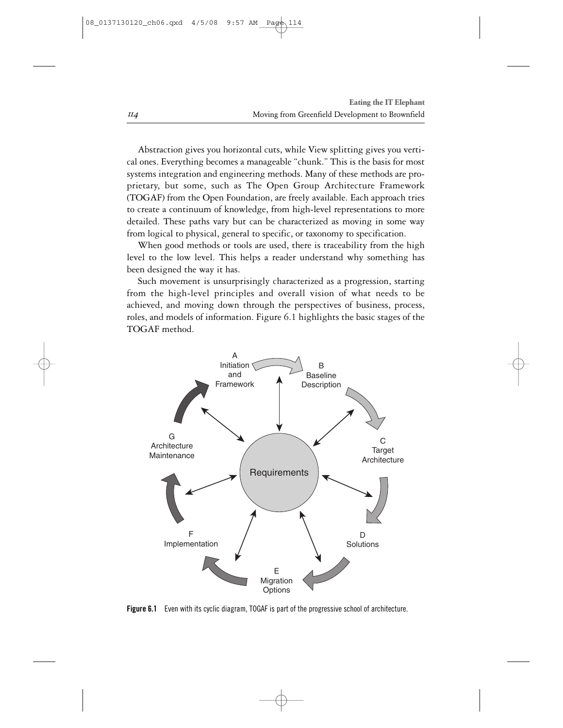Abstraction gives you horizontal cuts, while View splitting gives you vertical ones. Everything becomes a manageable "chunk." This is the basis for most systems integration and engineering methods. Many of these methods are proprietary, but some, such as The Open Group Architecture Framework (TOGAF) from the Open Foundation, are freely available. Each approach tries to create a continuum of knowledge, from high-level representations to more detailed. These paths vary but can be characterized as moving in some way from logical to physical, general to specific, or taxonomy to specification.

When good methods or tools are used, there is traceability from the high level to the low level. This helps a reader understand why something has been designed the way it has.

Such movement is unsurprisingly characterized as a progression, starting from the high-level principles and overall vision of what needs to be achieved, and moving down through the perspectives of business, process, roles, and models of information. Figure 6.1 highlights the basic stages of the TOGAF method.



**Figure 6.1** Even with its cyclic diagram, TOGAF is part of the progressive school of architecture.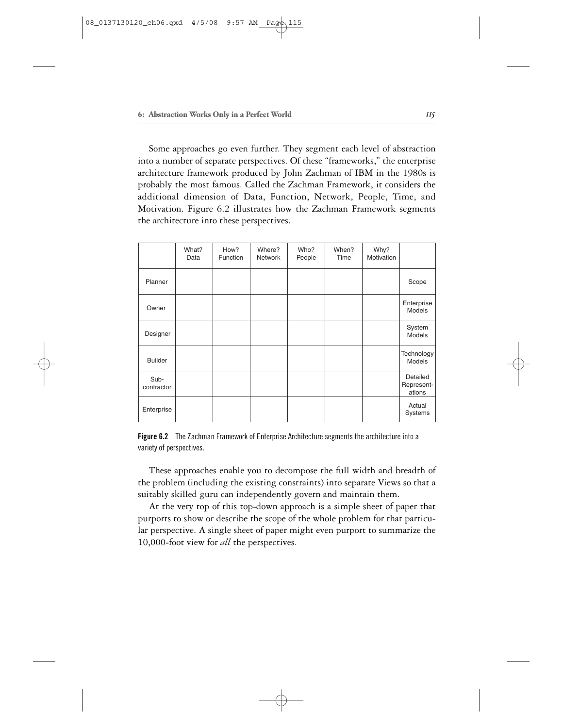Some approaches go even further. They segment each level of abstraction into a number of separate perspectives. Of these "frameworks," the enterprise architecture framework produced by John Zachman of IBM in the 1980s is probably the most famous. Called the Zachman Framework, it considers the additional dimension of Data, Function, Network, People, Time, and Motivation. Figure 6.2 illustrates how the Zachman Framework segments the architecture into these perspectives.

|                    | What?<br>Data | How?<br>Function | Where?<br><b>Network</b> | Who?<br>People | When?<br>Time | Why?<br>Motivation |                                  |
|--------------------|---------------|------------------|--------------------------|----------------|---------------|--------------------|----------------------------------|
| Planner            |               |                  |                          |                |               |                    | Scope                            |
| Owner              |               |                  |                          |                |               |                    | Enterprise<br>Models             |
| Designer           |               |                  |                          |                |               |                    | System<br>Models                 |
| <b>Builder</b>     |               |                  |                          |                |               |                    | Technology<br><b>Models</b>      |
| Sub-<br>contractor |               |                  |                          |                |               |                    | Detailed<br>Represent-<br>ations |
| Enterprise         |               |                  |                          |                |               |                    | Actual<br>Systems                |

**Figure 6.2** The Zachman Framework of Enterprise Architecture segments the architecture into a variety of perspectives.

These approaches enable you to decompose the full width and breadth of the problem (including the existing constraints) into separate Views so that a suitably skilled guru can independently govern and maintain them.

At the very top of this top-down approach is a simple sheet of paper that purports to show or describe the scope of the whole problem for that particular perspective. A single sheet of paper might even purport to summarize the 10,000-foot view for *all* the perspectives.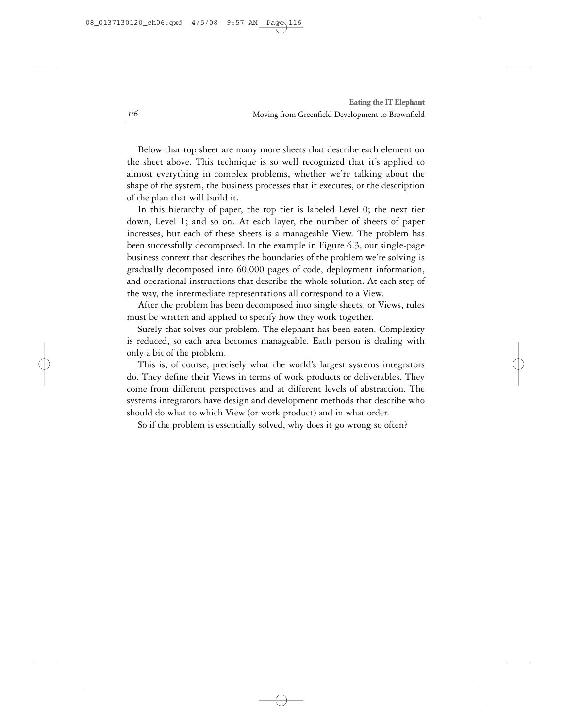Below that top sheet are many more sheets that describe each element on the sheet above. This technique is so well recognized that it's applied to almost everything in complex problems, whether we're talking about the shape of the system, the business processes that it executes, or the description of the plan that will build it.

In this hierarchy of paper, the top tier is labeled Level 0; the next tier down, Level 1; and so on. At each layer, the number of sheets of paper increases, but each of these sheets is a manageable View. The problem has been successfully decomposed. In the example in Figure 6.3, our single-page business context that describes the boundaries of the problem we're solving is gradually decomposed into 60,000 pages of code, deployment information, and operational instructions that describe the whole solution. At each step of the way, the intermediate representations all correspond to a View.

After the problem has been decomposed into single sheets, or Views, rules must be written and applied to specify how they work together.

Surely that solves our problem. The elephant has been eaten. Complexity is reduced, so each area becomes manageable. Each person is dealing with only a bit of the problem.

This is, of course, precisely what the world's largest systems integrators do. They define their Views in terms of work products or deliverables. They come from different perspectives and at different levels of abstraction. The systems integrators have design and development methods that describe who should do what to which View (or work product) and in what order.

So if the problem is essentially solved, why does it go wrong so often?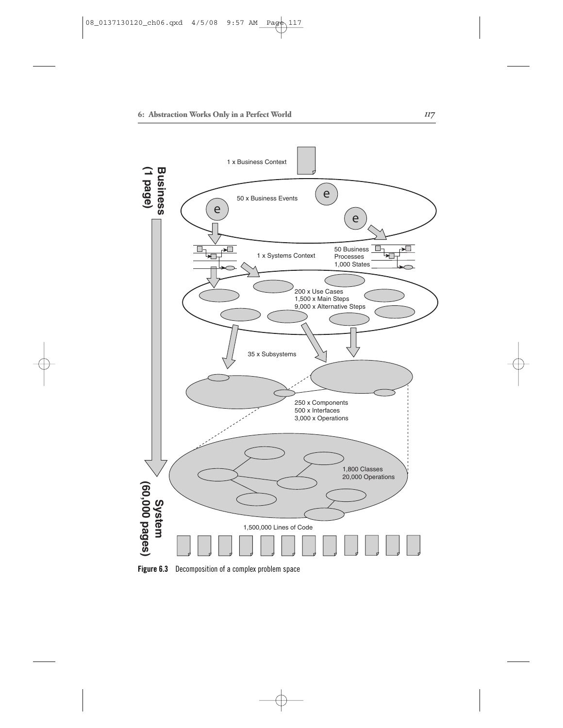

**Figure 6.3** Decomposition of a complex problem space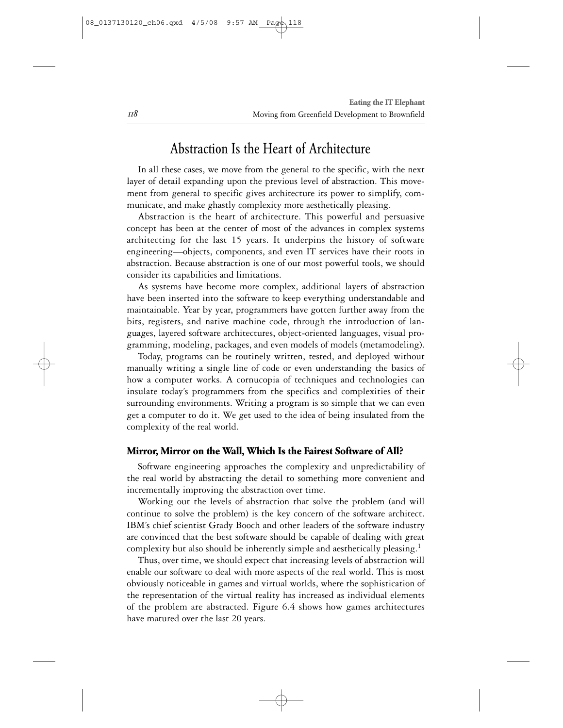# Abstraction Is the Heart of Architecture

In all these cases, we move from the general to the specific, with the next layer of detail expanding upon the previous level of abstraction. This movement from general to specific gives architecture its power to simplify, communicate, and make ghastly complexity more aesthetically pleasing.

Abstraction is the heart of architecture. This powerful and persuasive concept has been at the center of most of the advances in complex systems architecting for the last 15 years. It underpins the history of software engineering—objects, components, and even IT services have their roots in abstraction. Because abstraction is one of our most powerful tools, we should consider its capabilities and limitations.

As systems have become more complex, additional layers of abstraction have been inserted into the software to keep everything understandable and maintainable. Year by year, programmers have gotten further away from the bits, registers, and native machine code, through the introduction of languages, layered software architectures, object-oriented languages, visual programming, modeling, packages, and even models of models (metamodeling).

Today, programs can be routinely written, tested, and deployed without manually writing a single line of code or even understanding the basics of how a computer works. A cornucopia of techniques and technologies can insulate today's programmers from the specifics and complexities of their surrounding environments. Writing a program is so simple that we can even get a computer to do it. We get used to the idea of being insulated from the complexity of the real world.

### **Mirror, Mirror on the Wall, Which Is the Fairest Software of All?**

Software engineering approaches the complexity and unpredictability of the real world by abstracting the detail to something more convenient and incrementally improving the abstraction over time.

Working out the levels of abstraction that solve the problem (and will continue to solve the problem) is the key concern of the software architect. IBM's chief scientist Grady Booch and other leaders of the software industry are convinced that the best software should be capable of dealing with great complexity but also should be inherently simple and aesthetically pleasing.<sup>1</sup>

Thus, over time, we should expect that increasing levels of abstraction will enable our software to deal with more aspects of the real world. This is most obviously noticeable in games and virtual worlds, where the sophistication of the representation of the virtual reality has increased as individual elements of the problem are abstracted. Figure 6.4 shows how games architectures have matured over the last 20 years.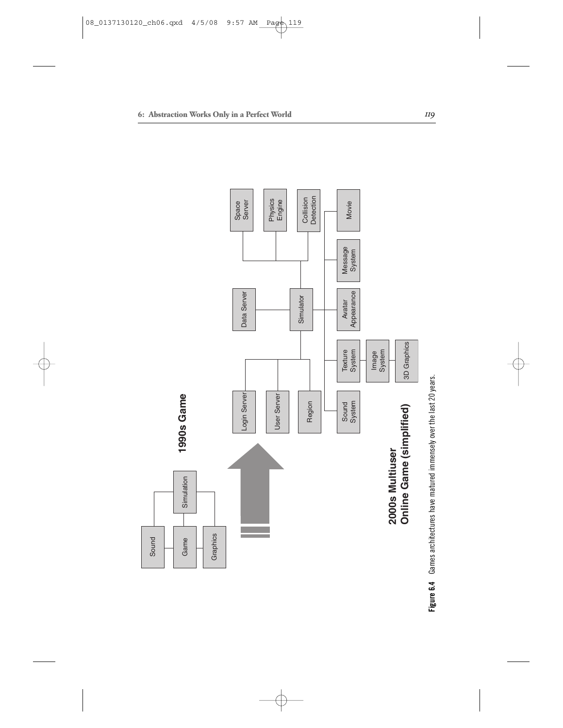

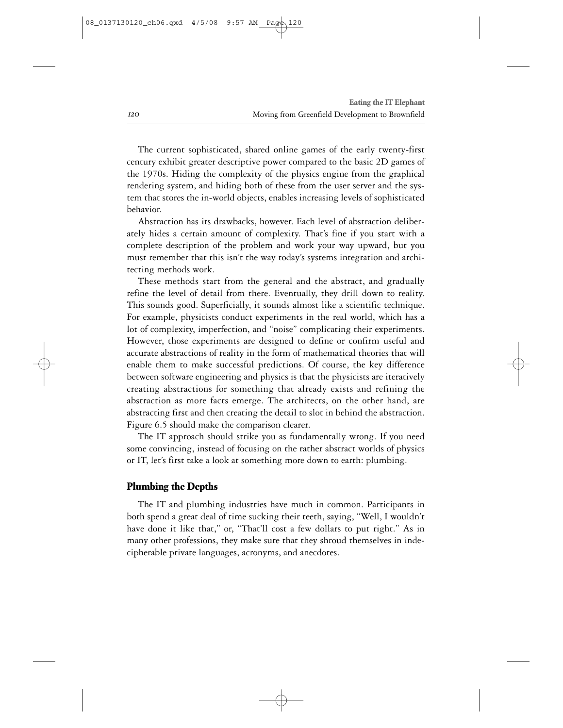The current sophisticated, shared online games of the early twenty-first century exhibit greater descriptive power compared to the basic 2D games of the 1970s. Hiding the complexity of the physics engine from the graphical rendering system, and hiding both of these from the user server and the system that stores the in-world objects, enables increasing levels of sophisticated behavior.

Abstraction has its drawbacks, however. Each level of abstraction deliberately hides a certain amount of complexity. That's fine if you start with a complete description of the problem and work your way upward, but you must remember that this isn't the way today's systems integration and architecting methods work.

These methods start from the general and the abstract, and gradually refine the level of detail from there. Eventually, they drill down to reality. This sounds good. Superficially, it sounds almost like a scientific technique. For example, physicists conduct experiments in the real world, which has a lot of complexity, imperfection, and "noise" complicating their experiments. However, those experiments are designed to define or confirm useful and accurate abstractions of reality in the form of mathematical theories that will enable them to make successful predictions. Of course, the key difference between software engineering and physics is that the physicists are iteratively creating abstractions for something that already exists and refining the abstraction as more facts emerge. The architects, on the other hand, are abstracting first and then creating the detail to slot in behind the abstraction. Figure 6.5 should make the comparison clearer.

The IT approach should strike you as fundamentally wrong. If you need some convincing, instead of focusing on the rather abstract worlds of physics or IT, let's first take a look at something more down to earth: plumbing.

# **Plumbing the Depths**

The IT and plumbing industries have much in common. Participants in both spend a great deal of time sucking their teeth, saying, "Well, I wouldn't have done it like that," or, "That'll cost a few dollars to put right." As in many other professions, they make sure that they shroud themselves in indecipherable private languages, acronyms, and anecdotes.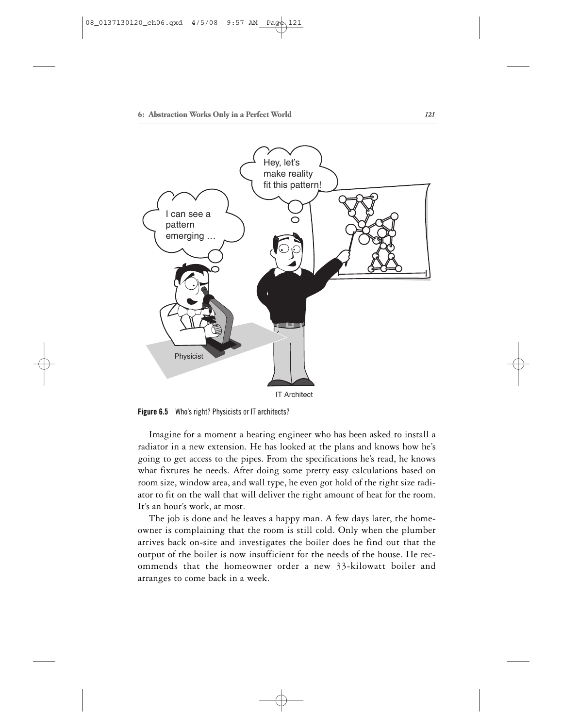

IT Architect



Imagine for a moment a heating engineer who has been asked to install a radiator in a new extension. He has looked at the plans and knows how he's going to get access to the pipes. From the specifications he's read, he knows what fixtures he needs. After doing some pretty easy calculations based on room size, window area, and wall type, he even got hold of the right size radiator to fit on the wall that will deliver the right amount of heat for the room. It's an hour's work, at most.

The job is done and he leaves a happy man. A few days later, the homeowner is complaining that the room is still cold. Only when the plumber arrives back on-site and investigates the boiler does he find out that the output of the boiler is now insufficient for the needs of the house. He recommends that the homeowner order a new 33-kilowatt boiler and arranges to come back in a week.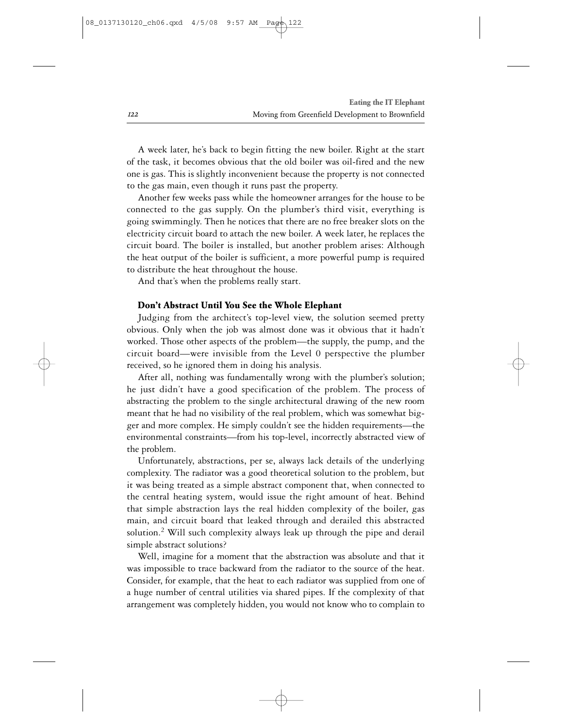A week later, he's back to begin fitting the new boiler. Right at the start of the task, it becomes obvious that the old boiler was oil-fired and the new one is gas. This is slightly inconvenient because the property is not connected to the gas main, even though it runs past the property.

Another few weeks pass while the homeowner arranges for the house to be connected to the gas supply. On the plumber's third visit, everything is going swimmingly. Then he notices that there are no free breaker slots on the electricity circuit board to attach the new boiler. A week later, he replaces the circuit board. The boiler is installed, but another problem arises: Although the heat output of the boiler is sufficient, a more powerful pump is required to distribute the heat throughout the house.

And that's when the problems really start.

### **Don't Abstract Until You See the Whole Elephant**

Judging from the architect's top-level view, the solution seemed pretty obvious. Only when the job was almost done was it obvious that it hadn't worked. Those other aspects of the problem—the supply, the pump, and the circuit board—were invisible from the Level 0 perspective the plumber received, so he ignored them in doing his analysis.

After all, nothing was fundamentally wrong with the plumber's solution; he just didn't have a good specification of the problem. The process of abstracting the problem to the single architectural drawing of the new room meant that he had no visibility of the real problem, which was somewhat bigger and more complex. He simply couldn't see the hidden requirements—the environmental constraints—from his top-level, incorrectly abstracted view of the problem.

Unfortunately, abstractions, per se, always lack details of the underlying complexity. The radiator was a good theoretical solution to the problem, but it was being treated as a simple abstract component that, when connected to the central heating system, would issue the right amount of heat. Behind that simple abstraction lays the real hidden complexity of the boiler, gas main, and circuit board that leaked through and derailed this abstracted solution.<sup>2</sup> Will such complexity always leak up through the pipe and derail simple abstract solutions?

Well, imagine for a moment that the abstraction was absolute and that it was impossible to trace backward from the radiator to the source of the heat. Consider, for example, that the heat to each radiator was supplied from one of a huge number of central utilities via shared pipes. If the complexity of that arrangement was completely hidden, you would not know who to complain to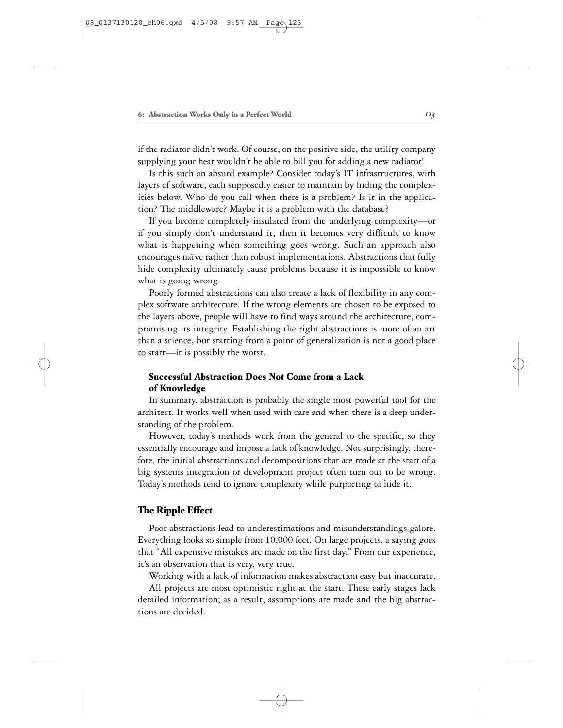if the radiator didn't work. Of course, on the positive side, the utility company supplying your heat wouldn't be able to bill you for adding a new radiator!

Is this such an absurd example? Consider today's IT infrastructures, with layers of software, each supposedly easier to maintain by hiding the complexities below. Who do you call when there is a problem? Is it in the application? The middleware? Maybe it is a problem with the database?

If you become completely insulated from the underlying complexity—or if you simply don't understand it, then it becomes very difficult to know what is happening when something goes wrong. Such an approach also encourages naïve rather than robust implementations. Abstractions that fully hide complexity ultimately cause problems because it is impossible to know what is going wrong.

Poorly formed abstractions can also create a lack of flexibility in any complex software architecture. If the wrong elements are chosen to be exposed to the layers above, people will have to find ways around the architecture, compromising its integrity. Establishing the right abstractions is more of an art than a science, but starting from a point of generalization is not a good place to start—it is possibly the worst.

### **Successful Abstraction Does Not Come from a Lack of Knowledge**

In summary, abstraction is probably the single most powerful tool for the architect. It works well when used with care and when there is a deep understanding of the problem.

However, today's methods work from the general to the specific, so they essentially encourage and impose a lack of knowledge. Not surprisingly, therefore, the initial abstractions and decompositions that are made at the start of a big systems integration or development project often turn out to be wrong. Today's methods tend to ignore complexity while purporting to hide it.

# **The Ripple Effect**

Poor abstractions lead to underestimations and misunderstandings galore. Everything looks so simple from 10,000 feet. On large projects, a saying goes that "All expensive mistakes are made on the first day." From our experience, it's an observation that is very, very true.

Working with a lack of information makes abstraction easy but inaccurate.

All projects are most optimistic right at the start. These early stages lack detailed information; as a result, assumptions are made and the big abstractions are decided.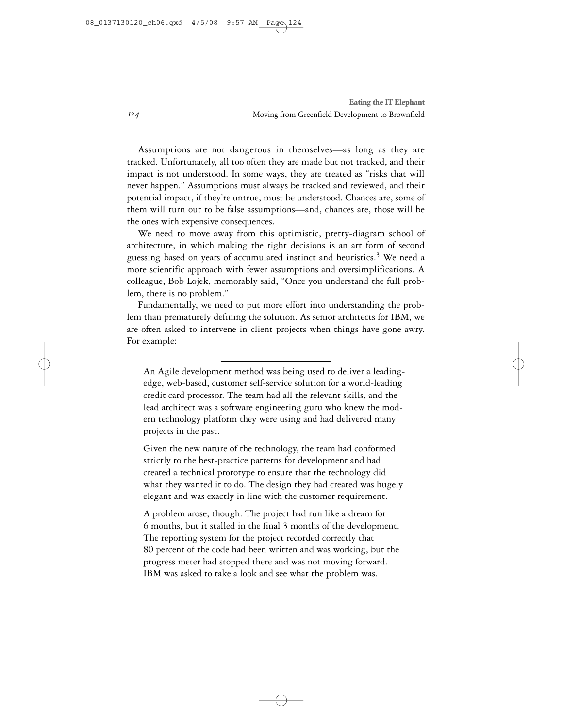Assumptions are not dangerous in themselves—as long as they are tracked. Unfortunately, all too often they are made but not tracked, and their impact is not understood. In some ways, they are treated as "risks that will never happen." Assumptions must always be tracked and reviewed, and their potential impact, if they're untrue, must be understood. Chances are, some of them will turn out to be false assumptions—and, chances are, those will be the ones with expensive consequences.

We need to move away from this optimistic, pretty-diagram school of architecture, in which making the right decisions is an art form of second guessing based on years of accumulated instinct and heuristics.<sup>3</sup> We need a more scientific approach with fewer assumptions and oversimplifications. A colleague, Bob Lojek, memorably said, "Once you understand the full problem, there is no problem."

Fundamentally, we need to put more effort into understanding the problem than prematurely defining the solution. As senior architects for IBM, we are often asked to intervene in client projects when things have gone awry. For example:

An Agile development method was being used to deliver a leadingedge, web-based, customer self-service solution for a world-leading credit card processor. The team had all the relevant skills, and the lead architect was a software engineering guru who knew the modern technology platform they were using and had delivered many projects in the past.

Given the new nature of the technology, the team had conformed strictly to the best-practice patterns for development and had created a technical prototype to ensure that the technology did what they wanted it to do. The design they had created was hugely elegant and was exactly in line with the customer requirement.

A problem arose, though. The project had run like a dream for 6 months, but it stalled in the final 3 months of the development. The reporting system for the project recorded correctly that 80 percent of the code had been written and was working, but the progress meter had stopped there and was not moving forward. IBM was asked to take a look and see what the problem was.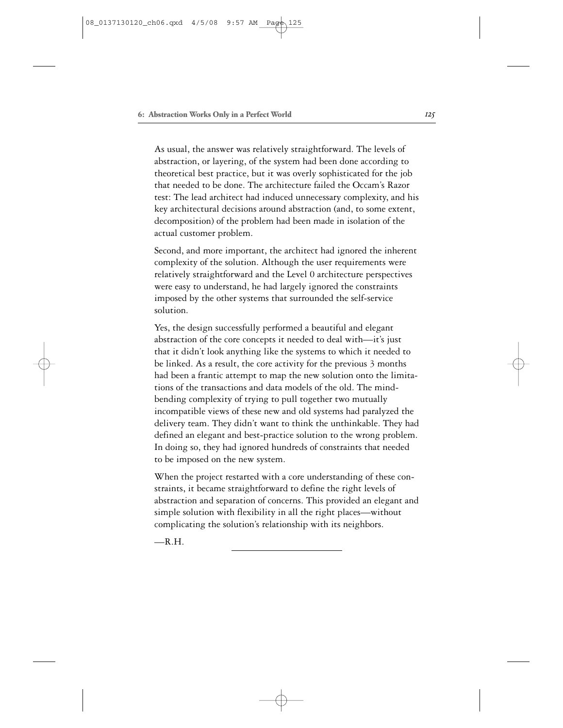As usual, the answer was relatively straightforward. The levels of abstraction, or layering, of the system had been done according to theoretical best practice, but it was overly sophisticated for the job that needed to be done. The architecture failed the Occam's Razor test: The lead architect had induced unnecessary complexity, and his key architectural decisions around abstraction (and, to some extent, decomposition) of the problem had been made in isolation of the actual customer problem.

Second, and more important, the architect had ignored the inherent complexity of the solution. Although the user requirements were relatively straightforward and the Level 0 architecture perspectives were easy to understand, he had largely ignored the constraints imposed by the other systems that surrounded the self-service solution.

Yes, the design successfully performed a beautiful and elegant abstraction of the core concepts it needed to deal with—it's just that it didn't look anything like the systems to which it needed to be linked. As a result, the core activity for the previous 3 months had been a frantic attempt to map the new solution onto the limitations of the transactions and data models of the old. The mindbending complexity of trying to pull together two mutually incompatible views of these new and old systems had paralyzed the delivery team. They didn't want to think the unthinkable. They had defined an elegant and best-practice solution to the wrong problem. In doing so, they had ignored hundreds of constraints that needed to be imposed on the new system.

When the project restarted with a core understanding of these constraints, it became straightforward to define the right levels of abstraction and separation of concerns. This provided an elegant and simple solution with flexibility in all the right places—without complicating the solution's relationship with its neighbors.

 $-R.H.$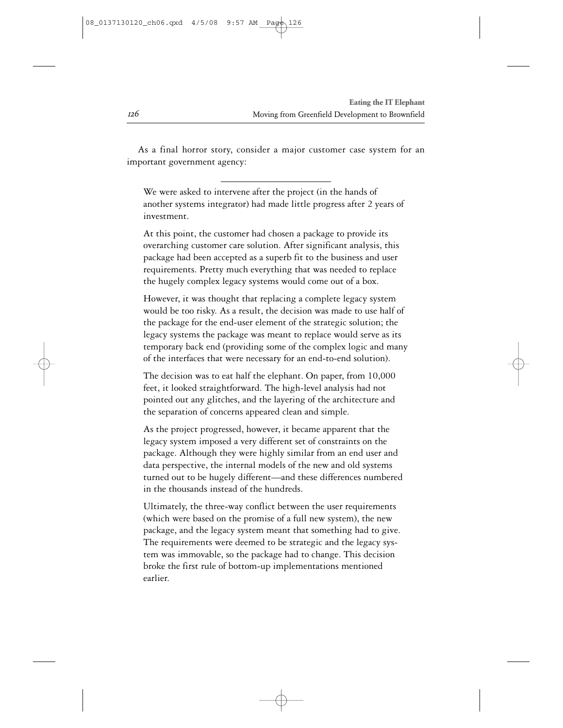As a final horror story, consider a major customer case system for an important government agency:

We were asked to intervene after the project (in the hands of another systems integrator) had made little progress after 2 years of investment.

At this point, the customer had chosen a package to provide its overarching customer care solution. After significant analysis, this package had been accepted as a superb fit to the business and user requirements. Pretty much everything that was needed to replace the hugely complex legacy systems would come out of a box.

However, it was thought that replacing a complete legacy system would be too risky. As a result, the decision was made to use half of the package for the end-user element of the strategic solution; the legacy systems the package was meant to replace would serve as its temporary back end (providing some of the complex logic and many of the interfaces that were necessary for an end-to-end solution).

The decision was to eat half the elephant. On paper, from 10,000 feet, it looked straightforward. The high-level analysis had not pointed out any glitches, and the layering of the architecture and the separation of concerns appeared clean and simple.

As the project progressed, however, it became apparent that the legacy system imposed a very different set of constraints on the package. Although they were highly similar from an end user and data perspective, the internal models of the new and old systems turned out to be hugely different—and these differences numbered in the thousands instead of the hundreds.

Ultimately, the three-way conflict between the user requirements (which were based on the promise of a full new system), the new package, and the legacy system meant that something had to give. The requirements were deemed to be strategic and the legacy system was immovable, so the package had to change. This decision broke the first rule of bottom-up implementations mentioned earlier.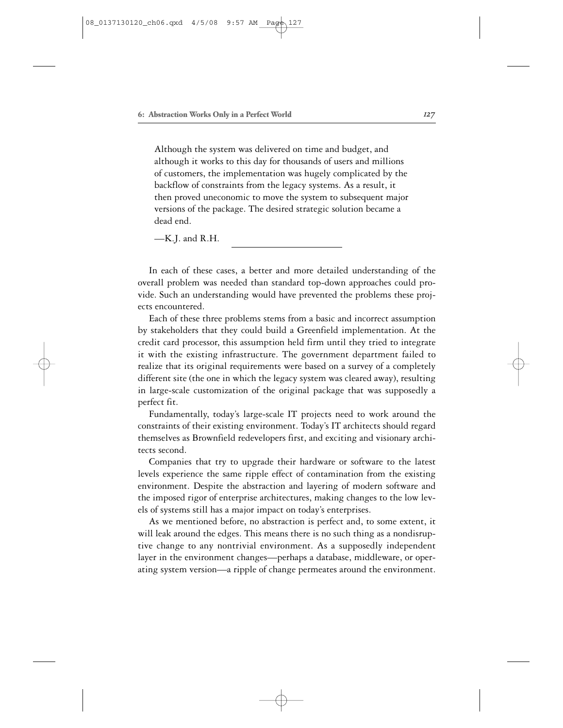Although the system was delivered on time and budget, and although it works to this day for thousands of users and millions of customers, the implementation was hugely complicated by the backflow of constraints from the legacy systems. As a result, it then proved uneconomic to move the system to subsequent major versions of the package. The desired strategic solution became a dead end.

—K.J. and R.H.

In each of these cases, a better and more detailed understanding of the overall problem was needed than standard top-down approaches could provide. Such an understanding would have prevented the problems these projects encountered.

Each of these three problems stems from a basic and incorrect assumption by stakeholders that they could build a Greenfield implementation. At the credit card processor, this assumption held firm until they tried to integrate it with the existing infrastructure. The government department failed to realize that its original requirements were based on a survey of a completely different site (the one in which the legacy system was cleared away), resulting in large-scale customization of the original package that was supposedly a perfect fit.

Fundamentally, today's large-scale IT projects need to work around the constraints of their existing environment. Today's IT architects should regard themselves as Brownfield redevelopers first, and exciting and visionary architects second.

Companies that try to upgrade their hardware or software to the latest levels experience the same ripple effect of contamination from the existing environment. Despite the abstraction and layering of modern software and the imposed rigor of enterprise architectures, making changes to the low levels of systems still has a major impact on today's enterprises.

As we mentioned before, no abstraction is perfect and, to some extent, it will leak around the edges. This means there is no such thing as a nondisruptive change to any nontrivial environment. As a supposedly independent layer in the environment changes—perhaps a database, middleware, or operating system version—a ripple of change permeates around the environment.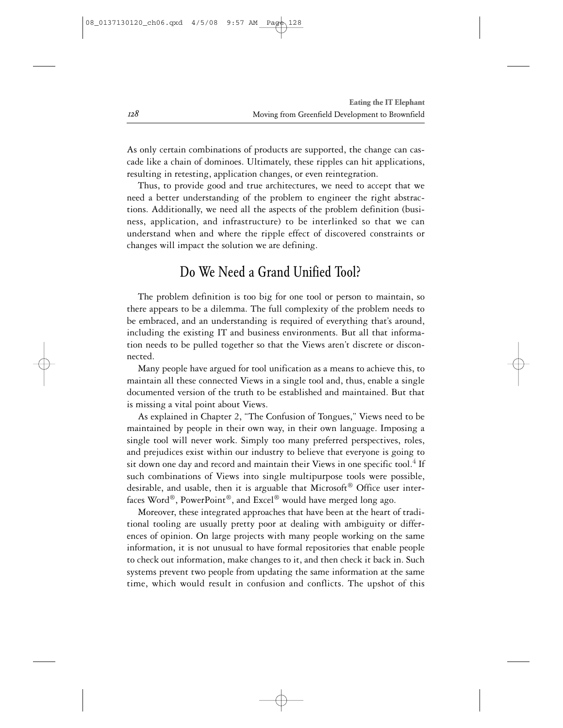As only certain combinations of products are supported, the change can cascade like a chain of dominoes. Ultimately, these ripples can hit applications, resulting in retesting, application changes, or even reintegration.

Thus, to provide good and true architectures, we need to accept that we need a better understanding of the problem to engineer the right abstractions. Additionally, we need all the aspects of the problem definition (business, application, and infrastructure) to be interlinked so that we can understand when and where the ripple effect of discovered constraints or changes will impact the solution we are defining.

# Do We Need a Grand Unified Tool?

The problem definition is too big for one tool or person to maintain, so there appears to be a dilemma. The full complexity of the problem needs to be embraced, and an understanding is required of everything that's around, including the existing IT and business environments. But all that information needs to be pulled together so that the Views aren't discrete or disconnected.

Many people have argued for tool unification as a means to achieve this, to maintain all these connected Views in a single tool and, thus, enable a single documented version of the truth to be established and maintained. But that is missing a vital point about Views.

As explained in Chapter 2, "The Confusion of Tongues," Views need to be maintained by people in their own way, in their own language. Imposing a single tool will never work. Simply too many preferred perspectives, roles, and prejudices exist within our industry to believe that everyone is going to sit down one day and record and maintain their Views in one specific tool.<sup>4</sup> If such combinations of Views into single multipurpose tools were possible, desirable, and usable, then it is arguable that Microsoft® Office user interfaces Word®, PowerPoint®, and Excel® would have merged long ago.

Moreover, these integrated approaches that have been at the heart of traditional tooling are usually pretty poor at dealing with ambiguity or differences of opinion. On large projects with many people working on the same information, it is not unusual to have formal repositories that enable people to check out information, make changes to it, and then check it back in. Such systems prevent two people from updating the same information at the same time, which would result in confusion and conflicts. The upshot of this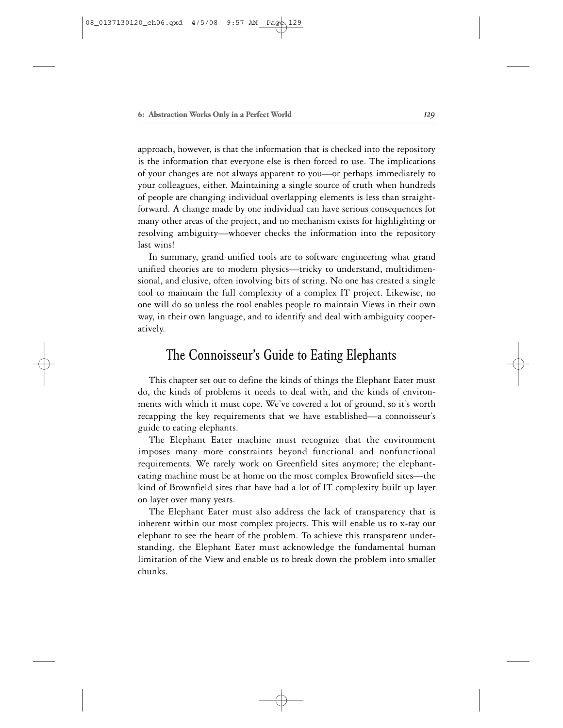approach, however, is that the information that is checked into the repository is the information that everyone else is then forced to use. The implications of your changes are not always apparent to you—or perhaps immediately to your colleagues, either. Maintaining a single source of truth when hundreds of people are changing individual overlapping elements is less than straightforward. A change made by one individual can have serious consequences for many other areas of the project, and no mechanism exists for highlighting or resolving ambiguity—whoever checks the information into the repository last wins!

In summary, grand unified tools are to software engineering what grand unified theories are to modern physics—tricky to understand, multidimensional, and elusive, often involving bits of string. No one has created a single tool to maintain the full complexity of a complex IT project. Likewise, no one will do so unless the tool enables people to maintain Views in their own way, in their own language, and to identify and deal with ambiguity cooperatively.

# The Connoisseur's Guide to Eating Elephants

This chapter set out to define the kinds of things the Elephant Eater must do, the kinds of problems it needs to deal with, and the kinds of environments with which it must cope. We've covered a lot of ground, so it's worth recapping the key requirements that we have established—a connoisseur's guide to eating elephants.

The Elephant Eater machine must recognize that the environment imposes many more constraints beyond functional and nonfunctional requirements. We rarely work on Greenfield sites anymore; the elephanteating machine must be at home on the most complex Brownfield sites—the kind of Brownfield sites that have had a lot of IT complexity built up layer on layer over many years.

The Elephant Eater must also address the lack of transparency that is inherent within our most complex projects. This will enable us to x-ray our elephant to see the heart of the problem. To achieve this transparent understanding, the Elephant Eater must acknowledge the fundamental human limitation of the View and enable us to break down the problem into smaller chunks.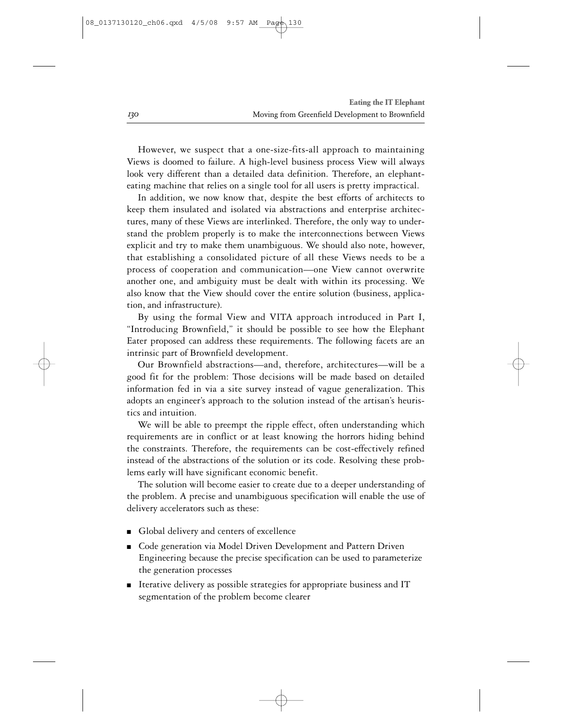However, we suspect that a one-size-fits-all approach to maintaining Views is doomed to failure. A high-level business process View will always look very different than a detailed data definition. Therefore, an elephanteating machine that relies on a single tool for all users is pretty impractical.

In addition, we now know that, despite the best efforts of architects to keep them insulated and isolated via abstractions and enterprise architectures, many of these Views are interlinked. Therefore, the only way to understand the problem properly is to make the interconnections between Views explicit and try to make them unambiguous. We should also note, however, that establishing a consolidated picture of all these Views needs to be a process of cooperation and communication—one View cannot overwrite another one, and ambiguity must be dealt with within its processing. We also know that the View should cover the entire solution (business, application, and infrastructure).

By using the formal View and VITA approach introduced in Part I, "Introducing Brownfield," it should be possible to see how the Elephant Eater proposed can address these requirements. The following facets are an intrinsic part of Brownfield development.

Our Brownfield abstractions—and, therefore, architectures—will be a good fit for the problem: Those decisions will be made based on detailed information fed in via a site survey instead of vague generalization. This adopts an engineer's approach to the solution instead of the artisan's heuristics and intuition.

We will be able to preempt the ripple effect, often understanding which requirements are in conflict or at least knowing the horrors hiding behind the constraints. Therefore, the requirements can be cost-effectively refined instead of the abstractions of the solution or its code. Resolving these problems early will have significant economic benefit.

The solution will become easier to create due to a deeper understanding of the problem. A precise and unambiguous specification will enable the use of delivery accelerators such as these:

- Global delivery and centers of excellence
- Code generation via Model Driven Development and Pattern Driven Engineering because the precise specification can be used to parameterize the generation processes
- Iterative delivery as possible strategies for appropriate business and IT segmentation of the problem become clearer